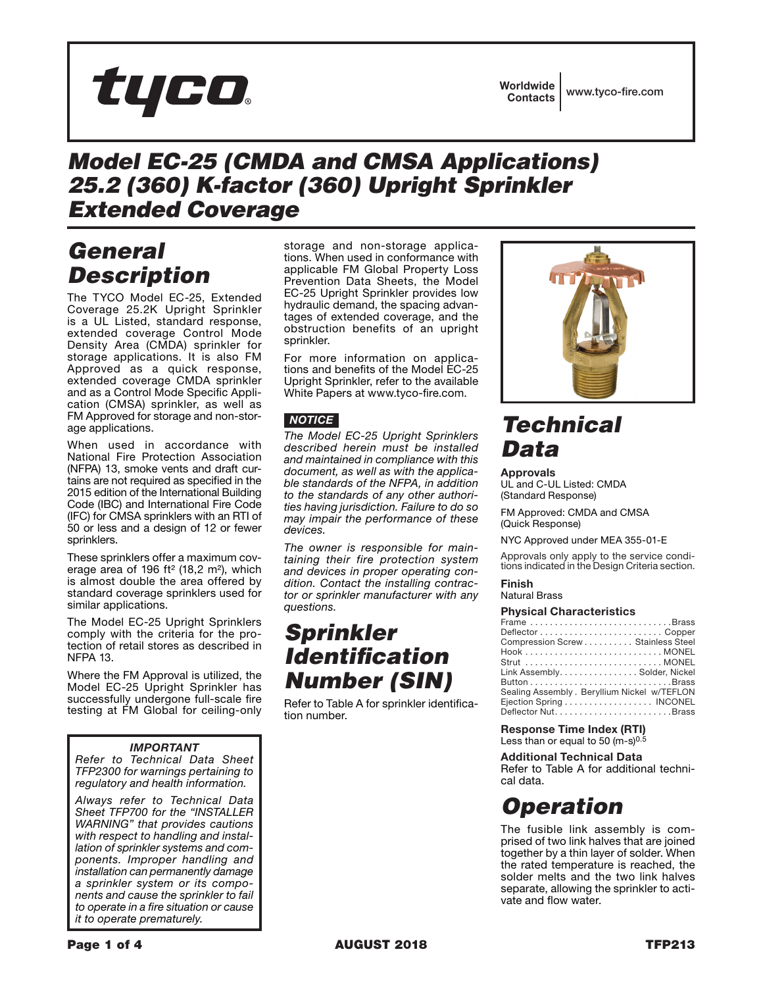# tyco.

### *Model EC-25 (CMDA and CMSA Applications) 25.2 (360) K-factor (360) Upright Sprinkler Extended Coverage*

### *General Description*

The TYCO Model EC-25, Extended Coverage 25.2K Upright Sprinkler is a UL Listed, standard response, extended coverage Control Mode Density Area (CMDA) sprinkler for storage applications. It is also FM Approved as a quick response, extended coverage CMDA sprinkler and as a Control Mode Specific Application (CMSA) sprinkler, as well as FM Approved for storage and non-storage applications.

When used in accordance with National Fire Protection Association (NFPA) 13, smoke vents and draft curtains are not required as specified in the 2015 edition of the International Building Code (IBC) and International Fire Code (IFC) for CMSA sprinklers with an RTI of 50 or less and a design of 12 or fewer sprinklers.

These sprinklers offer a maximum coverage area of 196 ft² (18,2 m²), which is almost double the area offered by standard coverage sprinklers used for similar applications.

The Model EC-25 Upright Sprinklers comply with the criteria for the protection of retail stores as described in NFPA 13.

Where the FM Approval is utilized, the Model EC-25 Upright Sprinkler has successfully undergone full-scale fire testing at FM Global for ceiling-only

### *IMPORTANT*

*Refer to Technical Data Sheet TFP2300 for warnings pertaining to regulatory and health information.*

*Always refer to Technical Data Sheet TFP700 for the "INSTALLER WARNING" that provides cautions with respect to handling and installation of sprinkler systems and components. Improper handling and installation can permanently damage a sprinkler system or its components and cause the sprinkler to fail to operate in a fire situation or cause it to operate prematurely.*

storage and non-storage applications. When used in conformance with applicable FM Global Property Loss Prevention Data Sheets, the Model EC-25 Upright Sprinkler provides low hydraulic demand, the spacing advantages of extended coverage, and the obstruction benefits of an upright sprinkler.

For more information on applications and benefits of the Model EC-25 Upright Sprinkler, refer to the available White Papers at www.tyco-fire.com.

### *NOTICE*

*The Model EC-25 Upright Sprinklers described herein must be installed and maintained in compliance with this document, as well as with the applicable standards of the NFPA, in addition to the standards of any other authorities having jurisdiction. Failure to do so may impair the performance of these devices.*

*The owner is responsible for maintaining their fire protection system and devices in proper operating condition. Contact the installing contractor or sprinkler manufacturer with any questions.*

# *Sprinkler Identification Number (SIN)*

Refer to Table A for sprinkler identification number.



# *Technical Data*

Approvals UL and C-UL Listed: CMDA (Standard Response)

FM Approved: CMDA and CMSA (Quick Response)

NYC Approved under MEA 355-01-E

Approvals only apply to the service conditions indicated in the Design Criteria section.

#### Finish Natural Brass

#### **Physical Characteristics**

| , <del>.</del>                               |
|----------------------------------------------|
| Frame Brass                                  |
| Deflector Copper                             |
| Compression Screw Stainless Steel            |
|                                              |
|                                              |
| Link Assembly. Solder, Nickel                |
|                                              |
| Sealing Assembly . Beryllium Nickel w/TEFLON |
| Ejection Spring INCONEL                      |
|                                              |
|                                              |

Response Time Index (RTI) Less than or equal to 50  $(m-s)^{0.5}$ 

**Additional Technical Data**

Refer to Table A for additional technical data.

# *Operation*

The fusible link assembly is comprised of two link halves that are joined together by a thin layer of solder. When the rated temperature is reached, the solder melts and the two link halves separate, allowing the sprinkler to activate and flow water.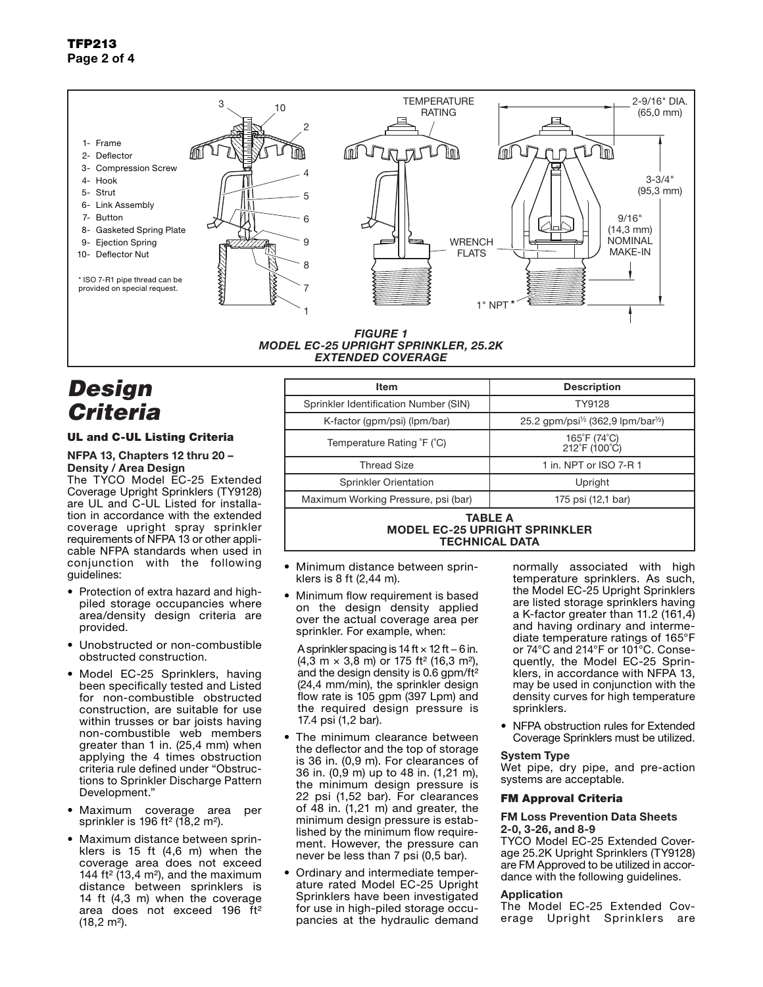### TFP213 Page 2 of 4



### *MODEL EC-25 UPRIGHT SPRINKLER, 25.2K*

### *EXTENDED COVERAGE*

# *Design Criteria*

#### UL and C-UL Listing Criteria

#### NFPA 13, Chapters 12 thru 20 – Density / Area Design

The TYCO Model EC-25 Extended Coverage Upright Sprinklers (TY9128) are UL and C-UL Listed for installation in accordance with the extended coverage upright spray sprinkler requirements of NFPA 13 or other applicable NFPA standards when used in conjunction with the following guidelines:

- Protection of extra hazard and highpiled storage occupancies where area/density design criteria are provided.
- Unobstructed or non-combustible obstructed construction.
- Model EC-25 Sprinklers, having been specifically tested and Listed for non-combustible obstructed construction, are suitable for use within trusses or bar joists having non-combustible web members greater than 1 in. (25,4 mm) when applying the 4 times obstruction criteria rule defined under "Obstructions to Sprinkler Discharge Pattern Development."
- Maximum coverage area per sprinkler is 196 ft² (18,2 m²).
- Maximum distance between sprinklers is 15 ft (4,6 m) when the coverage area does not exceed 144 ft<sup>2</sup> (13,4 m<sup>2</sup>), and the maximum distance between sprinklers is 14 ft (4,3 m) when the coverage area does not exceed 196 ft² (18,2 m²).

| <b>Item</b>                           | <b>Description</b>                                          |  |
|---------------------------------------|-------------------------------------------------------------|--|
| Sprinkler Identification Number (SIN) | TY9128                                                      |  |
| K-factor (gpm/psi) (lpm/bar)          | 25.2 gpm/psi <sup>1/2</sup> (362,9 lpm/bar <sup>1/2</sup> ) |  |
| Temperature Rating °F (°C)            | 165°F (74°C)<br>212°F (100°C)                               |  |
| <b>Thread Size</b>                    | 1 in. NPT or ISO 7-R 1                                      |  |
| <b>Sprinkler Orientation</b>          | Upright                                                     |  |
| Maximum Working Pressure, psi (bar)   | 175 psi (12,1 bar)                                          |  |

#### TABLE A MODEL EC-25 UPRIGHT SPRINKLER TECHNICAL DATA

- Minimum distance between sprinklers is 8 ft (2,44 m).
- Minimum flow requirement is based on the design density applied over the actual coverage area per sprinkler. For example, when:

A sprinkler spacing is 14 ft × 12 ft − 6 in.  $(4,3 \text{ m} \times 3,8 \text{ m})$  or 175 ft<sup>2</sup> (16,3 m<sup>2</sup>), and the design density is 0.6 gpm/ft² (24,4 mm/min), the sprinkler design flow rate is 105 gpm (397 Lpm) and the required design pressure is 17.4 psi (1,2 bar).

- The minimum clearance between the deflector and the top of storage is 36 in. (0,9 m). For clearances of 36 in. (0,9 m) up to 48 in. (1,21 m), the minimum design pressure is 22 psi (1,52 bar). For clearances of 48 in. (1,21 m) and greater, the minimum design pressure is established by the minimum flow requirement. However, the pressure can never be less than 7 psi (0,5 bar).
- Ordinary and intermediate temperature rated Model EC-25 Upright Sprinklers have been investigated for use in high-piled storage occupancies at the hydraulic demand

normally associated with high temperature sprinklers. As such, the Model EC-25 Upright Sprinklers are listed storage sprinklers having a K-factor greater than 11.2 (161,4) and having ordinary and intermediate temperature ratings of 165°F or 74°C and 214°F or 101°C. Consequently, the Model EC-25 Sprinklers, in accordance with NFPA 13, may be used in conjunction with the density curves for high temperature sprinklers.

• NFPA obstruction rules for Extended Coverage Sprinklers must be utilized.

#### System Type

Wet pipe, dry pipe, and pre-action systems are acceptable.

#### FM Approval Criteria

#### FM Loss Prevention Data Sheets 2-0, 3-26, and 8-9

TYCO Model EC-25 Extended Coverage 25.2K Upright Sprinklers (TY9128) are FM Approved to be utilized in accordance with the following guidelines.

#### **Application**

The Model EC-25 Extended Coverage Upright Sprinklers are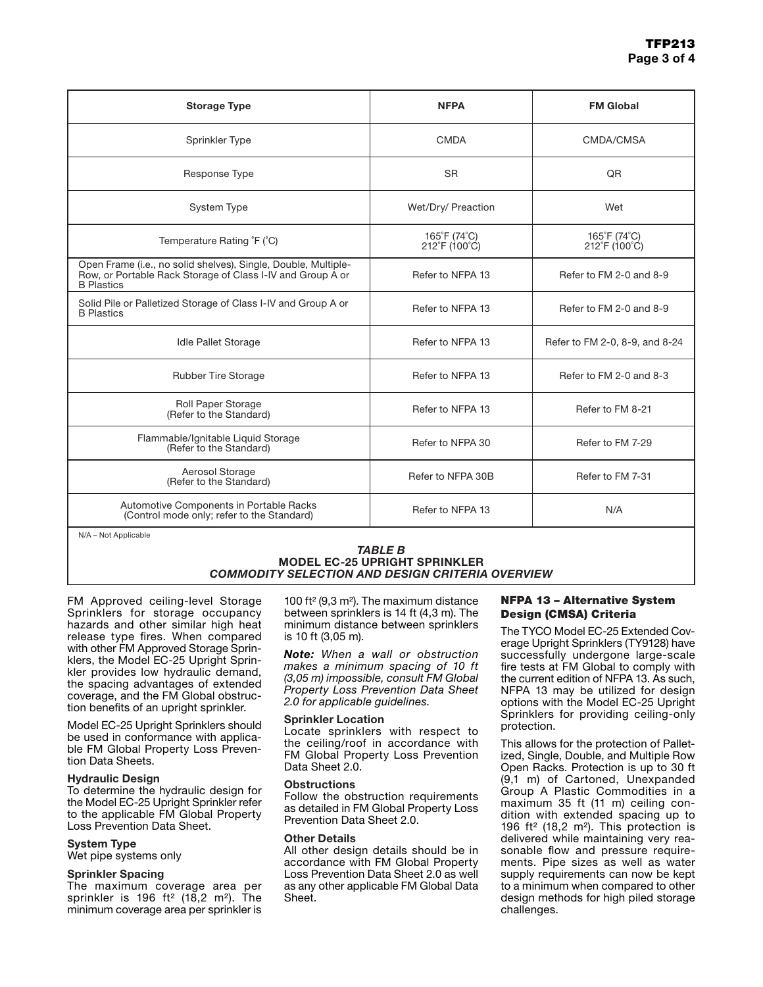| <b>Storage Type</b>                                                                                                                               | <b>NFPA</b>                                  | <b>FM Global</b>               |
|---------------------------------------------------------------------------------------------------------------------------------------------------|----------------------------------------------|--------------------------------|
| Sprinkler Type                                                                                                                                    | <b>CMDA</b>                                  | CMDA/CMSA                      |
| Response Type                                                                                                                                     | <b>SR</b>                                    | QR                             |
| <b>System Type</b>                                                                                                                                | Wet/Dry/ Preaction                           | Wet                            |
| Temperature Rating °F (°C)                                                                                                                        | 165°F (74°C)<br>$212^{\circ}F(100^{\circ}C)$ | 165°F (74°C)<br>212°F (100°C)  |
| Open Frame (i.e., no solid shelves), Single, Double, Multiple-<br>Row, or Portable Rack Storage of Class I-IV and Group A or<br><b>B</b> Plastics | Refer to NFPA 13                             | Refer to FM 2-0 and 8-9        |
| Solid Pile or Palletized Storage of Class I-IV and Group A or<br><b>B</b> Plastics                                                                | Refer to NFPA 13                             | Refer to FM 2-0 and 8-9        |
| Idle Pallet Storage                                                                                                                               | Refer to NFPA 13                             | Refer to FM 2-0, 8-9, and 8-24 |
| <b>Rubber Tire Storage</b>                                                                                                                        | Refer to NFPA 13                             | Refer to FM 2-0 and 8-3        |
| Roll Paper Storage<br>(Refer to the Standard)                                                                                                     | Refer to NFPA 13                             | Refer to FM 8-21               |
| Flammable/Ignitable Liquid Storage<br>(Refer to the Standard)                                                                                     | Refer to NFPA 30                             | Refer to FM 7-29               |
| Aerosol Storage<br>(Refer to the Standard)                                                                                                        | Refer to NFPA 30B                            | Refer to FM 7-31               |
| Automotive Components in Portable Racks<br>(Control mode only; refer to the Standard)                                                             | Refer to NFPA 13                             | N/A                            |
| N/A - Not Applicable                                                                                                                              |                                              |                                |

#### *TABLE B* MODEL EC-25 UPRIGHT SPRINKLER *COMMODITY SELECTION AND DESIGN CRITERIA OVERVIEW*

FM Approved ceiling-level Storage Sprinklers for storage occupancy hazards and other similar high heat release type fires. When compared with other FM Approved Storage Sprinklers, the Model EC-25 Upright Sprinkler provides low hydraulic demand, the spacing advantages of extended coverage, and the FM Global obstruction benefits of an upright sprinkler.

Model EC-25 Upright Sprinklers should be used in conformance with applicable FM Global Property Loss Prevention Data Sheets.

#### Hydraulic Design

To determine the hydraulic design for the Model EC-25 Upright Sprinkler refer to the applicable FM Global Property Loss Prevention Data Sheet.

#### System Type

Wet pipe systems only

#### Sprinkler Spacing

The maximum coverage area per sprinkler is 196 ft<sup>2</sup> (18,2 m<sup>2</sup>). The minimum coverage area per sprinkler is

100 ft² (9,3 m²). The maximum distance between sprinklers is 14 ft (4,3 m). The minimum distance between sprinklers is 10 ft (3,05 m).

*Note: When a wall or obstruction makes a minimum spacing of 10 ft (3,05 m) impossible, consult FM Global Property Loss Prevention Data Sheet 2.0 for applicable guidelines.*

#### Sprinkler Location

Locate sprinklers with respect to the ceiling/roof in accordance with FM Global Property Loss Prevention Data Sheet 2.0.

#### **Obstructions**

Follow the obstruction requirements as detailed in FM Global Property Loss Prevention Data Sheet 2.0.

#### Other Details

All other design details should be in accordance with FM Global Property Loss Prevention Data Sheet 2.0 as well as any other applicable FM Global Data Sheet.

#### NFPA 13 – Alternative System Design (CMSA) Criteria

The TYCO Model EC-25 Extended Coverage Upright Sprinklers (TY9128) have successfully undergone large-scale fire tests at FM Global to comply with the current edition of NFPA 13. As such, NFPA 13 may be utilized for design options with the Model EC-25 Upright Sprinklers for providing ceiling-only protection.

This allows for the protection of Palletized, Single, Double, and Multiple Row Open Racks. Protection is up to 30 ft (9,1 m) of Cartoned, Unexpanded Group A Plastic Commodities in a maximum 35 ft (11 m) ceiling condition with extended spacing up to 196 ft² (18,2 m²). This protection is delivered while maintaining very reasonable flow and pressure requirements. Pipe sizes as well as water supply requirements can now be kept to a minimum when compared to other design methods for high piled storage challenges.